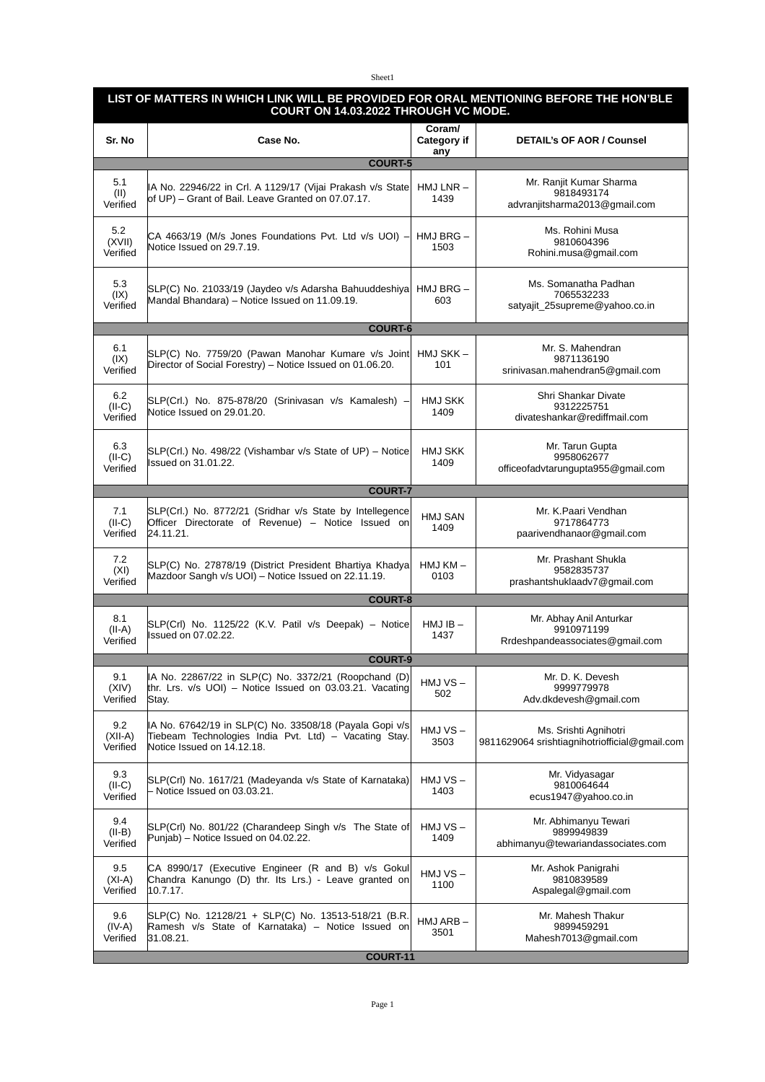## Sheet1

|                              | LIST OF MATTERS IN WHICH LINK WILL BE PROVIDED FOR ORAL MENTIONING BEFORE THE HON'BLE<br>COURT ON 14.03.2022 THROUGH VC MODE.                  |                                     |                                                                          |  |
|------------------------------|------------------------------------------------------------------------------------------------------------------------------------------------|-------------------------------------|--------------------------------------------------------------------------|--|
| Sr. No                       | Case No.                                                                                                                                       | Coram/<br><b>Category if</b><br>any | <b>DETAIL's OF AOR / Counsel</b>                                         |  |
| 5.1<br>(II)<br>Verified      | <b>COURT-5</b><br>IA No. 22946/22 in Crl. A 1129/17 (Vijai Prakash v/s State<br>of UP) - Grant of Bail. Leave Granted on 07.07.17.             | $HMJ LNR -$<br>1439                 | Mr. Ranjit Kumar Sharma<br>9818493174<br>advranjitsharma2013@gmail.com   |  |
| 5.2<br>(XVII)<br>Verified    | CA 4663/19 (M/s Jones Foundations Pvt. Ltd v/s UOI) –<br>Notice Issued on 29.7.19.                                                             | HMJ BRG -<br>1503                   | Ms. Rohini Musa<br>9810604396<br>Rohini.musa@gmail.com                   |  |
| 5.3<br>(IX)<br>Verified      | SLP(C) No. 21033/19 (Jaydeo v/s Adarsha Bahuuddeshiya HMJ BRG -<br>Mandal Bhandara) - Notice Issued on 11.09.19.                               | 603                                 | Ms. Somanatha Padhan<br>7065532233<br>satyajit 25supreme@yahoo.co.in     |  |
|                              | <b>COURT-6</b>                                                                                                                                 |                                     |                                                                          |  |
| 6.1<br>(IX)<br>Verified      | SLP(C) No. 7759/20 (Pawan Manohar Kumare v/s Joint<br>Director of Social Forestry) - Notice Issued on 01.06.20.                                | HMJ SKK-<br>101                     | Mr. S. Mahendran<br>9871136190<br>srinivasan.mahendran5@gmail.com        |  |
| 6.2<br>$(II-C)$<br>Verified  | SLP(Crl.) No. 875-878/20 (Srinivasan v/s Kamalesh) -<br>Notice Issued on 29.01.20.                                                             | <b>HMJ SKK</b><br>1409              | Shri Shankar Divate<br>9312225751<br>divateshankar@rediffmail.com        |  |
| 6.3<br>$(II-C)$<br>Verified  | SLP(Crl.) No. 498/22 (Vishambar v/s State of UP) - Notice<br>Issued on 31.01.22.                                                               | <b>HMJ SKK</b><br>1409              | Mr. Tarun Gupta<br>9958062677<br>officeofadvtarungupta955@gmail.com      |  |
|                              | <b>COURT-7</b>                                                                                                                                 |                                     |                                                                          |  |
| 7.1<br>$(II-C)$<br>Verified  | SLP(Crl.) No. 8772/21 (Sridhar v/s State by Intellegence<br>Officer Directorate of Revenue) - Notice Issued on<br>24.11.21.                    | <b>HMJ SAN</b><br>1409              | Mr. K.Paari Vendhan<br>9717864773<br>paarivendhanaor@gmail.com           |  |
| 7.2<br>(XI)<br>Verified      | SLP(C) No. 27878/19 (District President Bhartiya Khadya<br>Mazdoor Sangh v/s UOI) - Notice Issued on 22.11.19.                                 | HMJ KM-<br>0103                     | Mr. Prashant Shukla<br>9582835737<br>prashantshuklaadv7@gmail.com        |  |
|                              | <b>COURT-8</b>                                                                                                                                 |                                     |                                                                          |  |
| 8.1<br>$(II-A)$<br>Verified  | SLP(Crl) No. 1125/22 (K.V. Patil v/s Deepak) - Notice<br><b>Issued on 07.02.22.</b>                                                            | $HMJIB -$<br>1437                   | Mr. Abhay Anil Anturkar<br>9910971199<br>Rrdeshpandeassociates@gmail.com |  |
| <b>COURT-9</b>               |                                                                                                                                                |                                     |                                                                          |  |
| 9.1<br>(XIV)<br>Verified     | IA No. 22867/22 in SLP(C) No. 3372/21 (Roopchand (D)<br>thr. Lrs. v/s UOI) – Notice Issued on 03.03.21. Vacating<br>Stay.                      | HMJ VS-<br>502                      | Mr. D. K. Devesh<br>9999779978<br>Adv.dkdevesh@gmail.com                 |  |
| 9.2<br>$(XII-A)$<br>Verified | IA No. 67642/19 in SLP(C) No. 33508/18 (Payala Gopi v/s<br>Tiebeam Technologies India Pyt. Ltd) - Vacating Stay.<br>Notice Issued on 14.12.18. | HMJ VS-<br>3503                     | Ms. Srishti Agnihotri<br>9811629064 srishtiagnihotriofficial@gmail.com   |  |
| 9.3<br>$(II-C)$<br>Verified  | SLP(Crl) No. 1617/21 (Madeyanda v/s State of Karnataka)<br>Notice Issued on 03.03.21.                                                          | $HMJVS -$<br>1403                   | Mr. Vidyasagar<br>9810064644<br>ecus1947@yahoo.co.in                     |  |
| 9.4<br>$(II-B)$<br>Verified  | SLP(Crl) No. 801/22 (Charandeep Singh v/s The State of<br>Punjab) – Notice Issued on 04.02.22.                                                 | $HMJVS -$<br>1409                   | Mr. Abhimanyu Tewari<br>9899949839<br>abhimanyu@tewariandassociates.com  |  |
| 9.5<br>$(XI-A)$<br>Verified  | CA 8990/17 (Executive Engineer (R and B) v/s Gokul<br>Chandra Kanungo (D) thr. Its Lrs.) - Leave granted on<br>10.7.17.                        | HMJ VS-<br>1100                     | Mr. Ashok Panigrahi<br>9810839589<br>Aspalegal@gmail.com                 |  |
| 9.6<br>$(IV-A)$<br>Verified  | SLP(C) No. 12128/21 + SLP(C) No. 13513-518/21 (B.R.<br>Ramesh v/s State of Karnataka) - Notice Issued on<br>31.08.21.                          | HMJ ARB-<br>3501                    | Mr. Mahesh Thakur<br>9899459291<br>Mahesh7013@gmail.com                  |  |
|                              | COURT-11                                                                                                                                       |                                     |                                                                          |  |